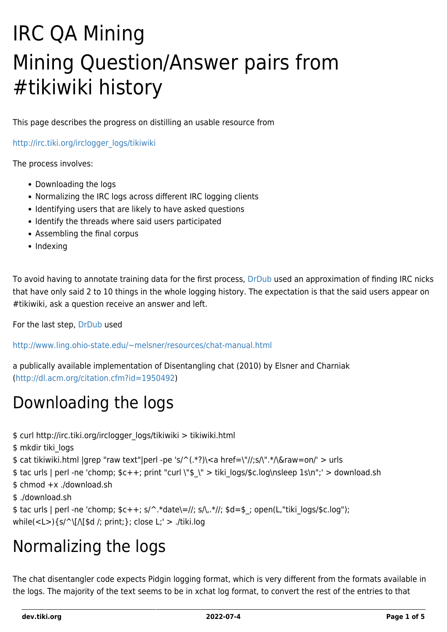# IRC QA Mining Mining Question/Answer pairs from #tikiwiki history

This page describes the progress on distilling an usable resource from

[http://irc.tiki.org/irclogger\\_logs/tikiwiki](http://irc.tiki.org/irclogger_logs/tikiwiki)

The process involves:

- Downloading the logs
- Normalizing the IRC logs across different IRC logging clients
- Identifying users that are likely to have asked questions
- Identify the threads where said users participated
- Assembling the final corpus
- Indexing

To avoid having to annotate training data for the first process, [DrDub](https://tiki.org/item4081) used an approximation of finding IRC nicks that have only said 2 to 10 things in the whole logging history. The expectation is that the said users appear on #tikiwiki, ask a question receive an answer and left.

For the last step, [DrDub](https://tiki.org/item4081) used

<http://www.ling.ohio-state.edu/~melsner/resources/chat-manual.html>

a publically available implementation of Disentangling chat (2010) by Elsner and Charniak ([http://dl.acm.org/citation.cfm?id=1950492\)](http://dl.acm.org/citation.cfm?id=1950492)

#### Downloading the logs

\$ curl http://irc.tiki.org/irclogger\_logs/tikiwiki > tikiwiki.html

\$ mkdir tiki\_logs

\$ cat tikiwiki.html |grep "raw text"|perl -pe 's/^(.\*?)\<a href=\"//;s/\".\*/\&raw=on/' > urls

\$ tac urls | perl -ne 'chomp; \$c++; print "curl \"\$\_\" > tiki\_logs/\$c.log\nsleep 1s\n";' > download.sh

- \$ chmod +x ./download.sh
- \$ ./download.sh

\$ tac urls | perl -ne 'chomp; \$c++; s/^.\*date\=//; s/\,.\*//; \$d=\$\_; open(L,"tiki\_logs/\$c.log"); while(<L>){s/^\[/\[\$d /; print;}; close L;' > ./tiki.log

#### Normalizing the logs

The chat disentangler code expects Pidgin logging format, which is very different from the formats available in the logs. The majority of the text seems to be in xchat log format, to convert the rest of the entries to that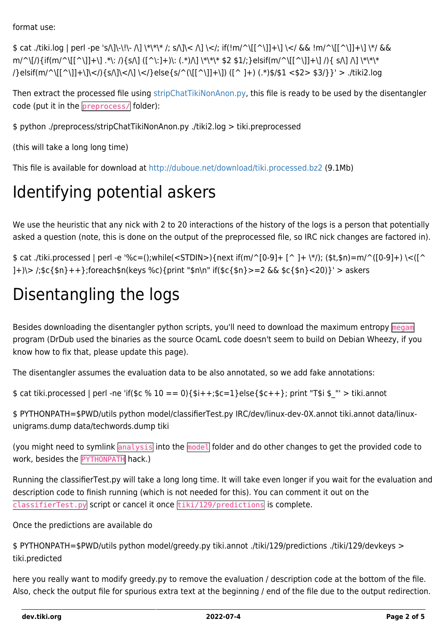format use:

\$ cat ./tiki.log | perl -pe 's/\]\-\!\- /\] \\*\\*\\* /; s/\]\< /\] \</; if(!m/^\[[^\]]+\] \</ && !m/^\[[^\]]+\] \\*/ && m/^\[/){if(m/^\[[^\]]+\] .\*\: /){s/\] ([^\:]+)\: (.\*)/\] \\*\\*\\* \$2 \$1/;}elsif(m/^\[[^\]]+\] /){ s/\] /\\*\\*\\* /}elsif(m/^\[[^\]]+\]\</){s/\]\</\] \</}else{s/^(\[[^\]]+\]) ([^ ]+) (.\*)\$/\$1 <\$2> \$3/}}' > ./tiki2.log

Then extract the processed file using [stripChatTikiNonAnon.py,](https://gist.github.com/DrDub/5431945) this file is ready to be used by the disentangler code (put it in the preprocess/ folder):

\$ python ./preprocess/stripChatTikiNonAnon.py ./tiki2.log > tiki.preprocessed

(this will take a long long time)

This file is available for download at<http://duboue.net/download/tiki.processed.bz2>(9.1Mb)

### Identifying potential askers

We use the heuristic that any nick with 2 to 20 interactions of the history of the logs is a person that potentially asked a question (note, this is done on the output of the preprocessed file, so IRC nick changes are factored in).

\$ cat ./tiki.processed | perl -e '%c=();while(<STDIN>){next if(m/^[0-9]+ [^ ]+ \\*/); (\$t,\$n)=m/^([0-9]+) \<([^ ]+)\> /;\$c{\$n}++};foreach\$n(keys %c){print "\$n\n" if(\$c{\$n}>=2 && \$c{\$n}<20)}' > askers

# Disentangling the logs

Besides downloading the disentangler python scripts, you'll need to download the maximum entropy megam program (DrDub used the binaries as the source OcamL code doesn't seem to build on Debian Wheezy, if you know how to fix that, please update this page).

The disentangler assumes the evaluation data to be also annotated, so we add fake annotations:

 $$cat tiki.processed | perl -ne 'if($c % 10 == 0)$ { $$i++;$c=1}$ else{ $$c++$ }; print "T\$i \$\_"' > tiki.annot

\$ PYTHONPATH=\$PWD/utils python model/classifierTest.py IRC/dev/linux-dev-0X.annot tiki.annot data/linuxunigrams.dump data/techwords.dump tiki

(you might need to symlink analysis into the model folder and do other changes to get the provided code to work, besides the PYTHONPATH hack.)

Running the classifierTest.py will take a long long time. It will take even longer if you wait for the evaluation and description code to finish running (which is not needed for this). You can comment it out on the  $\overline{\text{classifications}}$  is complete.

Once the predictions are available do

```
$ PYTHONPATH=$PWD/utils python model/greedy.py tiki.annot ./tiki/129/predictions ./tiki/129/devkeys >
tiki.predicted
```
here you really want to modify greedy.py to remove the evaluation / description code at the bottom of the file. Also, check the output file for spurious extra text at the beginning / end of the file due to the output redirection.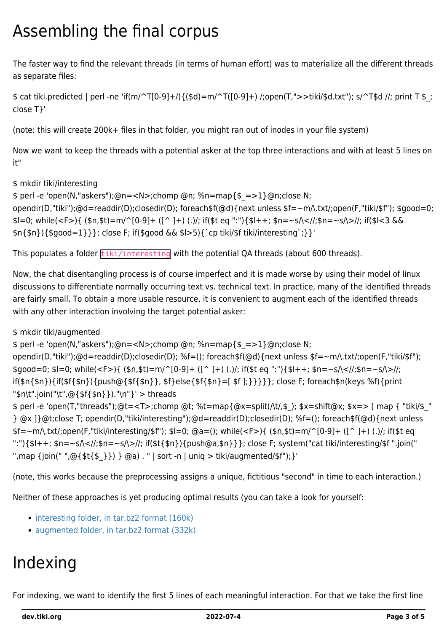## Assembling the final corpus

The faster way to find the relevant threads (in terms of human effort) was to materialize all the different threads as separate files:

 $$cat\,tiki.predicted | perl -ne\; 'if(m/^T[0-9]+)/{($d)=m/^T([0-9]+)/; open(T,">>tiki/$d.txt"); s/^T$d //; print T $;$ close T}'

(note: this will create 200k+ files in that folder, you might ran out of inodes in your file system)

Now we want to keep the threads with a potential asker at the top three interactions and with at least 5 lines on it"

\$ mkdir tiki/interesting

\$ perl -e 'open(N,"askers");@n=<N>;chomp @n; %n=map{\$\_=>1}@n;close N; opendir(D,"tiki");@d=readdir(D);closedir(D); foreach\$f(@d){next unless \$f=~m/\.txt/;open(F,"tiki/\$f"); \$good=0;

 $s = 0$ ; while(<F>){ (\$n,\$t)=m/^[0-9]+ ([^ ]+) (.)/; if(\$t eq ":"){\$l++; \$n=~s/\<//;\$n=~s/\>//; if(\$l<3 &&  $\{1\}\{\$good=1\}\};$  close F; if(\$good && \$l>5){`cp tiki/\$f tiki/interesting`;}}'

This populates a folder tiki/interesting with the potential QA threads (about 600 threads).

Now, the chat disentangling process is of course imperfect and it is made worse by using their model of linux discussions to differentiate normally occurring text vs. technical text. In practice, many of the identified threads are fairly small. To obtain a more usable resource, it is convenient to augment each of the identified threads with any other interaction involving the target potential asker:

\$ mkdir tiki/augmented

\$ perl -e 'open(N,"askers");@n=<N>;chomp @n; %n=map{\$\_=>1}@n;close N; opendir(D,"tiki");@d=readdir(D);closedir(D); %f=(); foreach\$f(@d){next unless \$f=~m/\.txt/;open(F,"tiki/\$f");  $\text{fsqood}=0; \text{sl}=0; \text{while}()\{ (\text{sn},\text{st})=m/\{0-9\}+ ([\text{m},\text{st})])$ ; if( $\text{st}$  eq ":"){ $\text{sl}++; \text{sn}=-s/\langle 1/\rangle; \text{sn}=-s/\langle 1/\rangle;$ if(\$n{\$n}){if(\$f{\$n}){push@{\$f{\$n}}, \$f}else{\$f{\$n}=[ \$f ];}}}}}; close F; foreach\$n(keys %f){print

"\$n\t".join("\t",@{\$f{\$n}})."\n"}' > threads \$ perl -e 'open(T,"threads");@t=<T>;chomp @t; %t=map{@x=split(/\t/,\$\_); \$x=shift@x; \$x=> [ map { "tiki/\$\_" } @x ]}@t;close T; opendir(D,"tiki/interesting");@d=readdir(D);closedir(D); %f=(); foreach\$f(@d){next unless \$f=~m/\.txt/;open(F,"tiki/interesting/\$f"); \$l=0; @a=(); while(<F>){ (\$n,\$t)=m/^[0-9]+ ([^ ]+) (.)/; if(\$t eq ":") $\{\$I++; \$n=-s\< l\;\$n=-s\>l\};$  if( $\$\{\$n\}\$  push@a,\$n } }; close F; system("cat tiki/interesting/\$f ".join(") ",map {join(" ",@{\$t{\$}}) } @a) . " | sort -n | uniq > tiki/augmented/\$f"); }'

(note, this works because the preprocessing assigns a unique, fictitious "second" in time to each interaction.)

Neither of these approaches is yet producing optimal results (you can take a look for yourself:

- [interesting folder, in tar.bz2 format \(160k\)](http://duboue.net/download/tiki-interesting.bz2)
- [augmented folder, in tar.bz2 format \(332k\)](http://duboue.net/download/tiki-augmented.bz2)

# Indexing

For indexing, we want to identify the first 5 lines of each meaningful interaction. For that we take the first line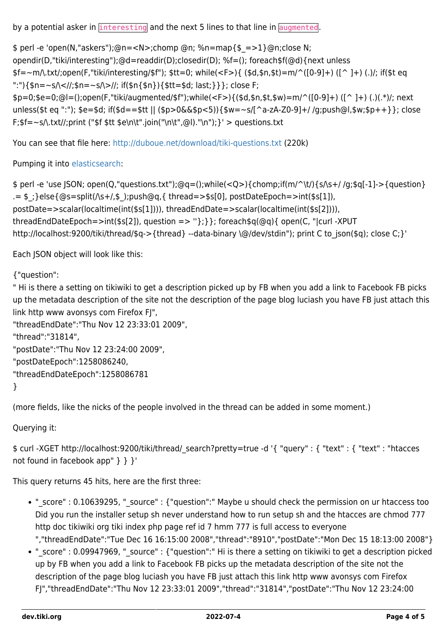by a potential asker in  $\frac{1}{\pi}$  interesting and the next 5 lines to that line in augmented.

\$ perl -e 'open(N,"askers");@n=<N>;chomp @n; %n=map{\$\_=>1}@n;close N; opendir(D,"tiki/interesting");@d=readdir(D);closedir(D); %f=(); foreach\$f(@d){next unless \$f=~m/\.txt/;open(F,"tiki/interesting/\$f"); \$tt=0; while(<F>){ (\$d,\$n,\$t)=m/^([0-9]+) ([^ ]+) (.)/; if(\$t eq ":"){\$n=~s/\<//;\$n=~s/\>//; if(\$n{\$n}){\$tt=\$d; last;}}}; close F; \$p=0;\$e=0;@l=();open(F,"tiki/augmented/\$f");while(<F>){(\$d,\$n,\$t,\$w)=m/^([0-9]+) ([^ ]+) (.)(.\*)/; next unless(\$t eq ":"); \$e=\$d; if(\$d==\$tt || (\$p>0&&\$p<5)){\$w=~s/[^a-zA-Z0-9]+/ /g;push@l,\$w;\$p++}}; close  $F$ ;\$f=~s $\Lambda$ .txt//;print ("\$f \$tt \$e\n\t".join("\n\t",@l)."\n");}' > questions.txt

You can see that file here:<http://duboue.net/download/tiki-questions.txt> (220k)

Pumping it into [elasticsearch:](http://www.elasticsearch.org)

\$ perl -e 'use JSON; open(Q,"questions.txt");@q=();while(<Q>){chomp;if(m/^\t/){s/\s+/ /g;\$q[-1]->{question}  $.5 = $$ ;}else{@s=split( $\triangle +$ /,\$);push@q,{ thread=>\$s[0], postDateEpoch=>int(\$s[1]), postDate=>scalar(localtime(int(\$s[1]))), threadEndDate=>scalar(localtime(int(\$s[2]))), threadEndDateEpoch=>int(\$s[2]), question => "};}}; foreach\$q(@q){ open(C, "|curl -XPUT http://localhost:9200/tiki/thread/\$q->{thread} --data-binary \@/dev/stdin"); print C to json(\$q); close C;}'

Each JSON object will look like this:

{"question":

" Hi is there a setting on tikiwiki to get a description picked up by FB when you add a link to Facebook FB picks up the metadata description of the site not the description of the page blog luciash you have FB just attach this link http www avonsys com Firefox FJ",

```
"threadEndDate":"Thu Nov 12 23:33:01 2009",
"thread":"31814",
"postDate":"Thu Nov 12 23:24:00 2009",
"postDateEpoch":1258086240,
"threadEndDateEpoch":1258086781
}
```
(more fields, like the nicks of the people involved in the thread can be added in some moment.)

Querying it:

\$ curl -XGET http://localhost:9200/tiki/thread/\_search?pretty=true -d '{ "query" : { "text" : { "text" : "htacces not found in facebook app" } } }'

This query returns 45 hits, here are the first three:

- " score" : 0.10639295, " source" : {"question":" Maybe u should check the permission on ur htaccess too Did you run the installer setup sh never understand how to run setup sh and the htacces are chmod 777 http doc tikiwiki org tiki index php page ref id 7 hmm 777 is full access to everyone ","threadEndDate":"Tue Dec 16 16:15:00 2008","thread":"8910","postDate":"Mon Dec 15 18:13:00 2008"}
- "\_score" : 0.09947969, "\_source" : {"question":" Hi is there a setting on tikiwiki to get a description picked up by FB when you add a link to Facebook FB picks up the metadata description of the site not the description of the page blog luciash you have FB just attach this link http www avonsys com Firefox FJ","threadEndDate":"Thu Nov 12 23:33:01 2009","thread":"31814","postDate":"Thu Nov 12 23:24:00